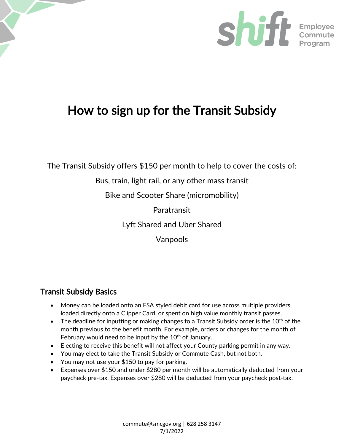

# How to sign up for the Transit Subsidy

The Transit Subsidy offers \$150 per month to help to cover the costs of:

# Bus, train, light rail, or any other mass transit

Bike and Scooter Share (micromobility)

Paratransit

Lyft Shared and Uber Shared

Vanpools

# Transit Subsidy Basics

- Money can be loaded onto an FSA styled debit card for use across multiple providers, loaded directly onto a Clipper Card, or spent on high value monthly transit passes.
- The deadline for inputting or making changes to a Transit Subsidy order is the  $10^{th}$  of the month previous to the benefit month. For example, orders or changes for the month of February would need to be input by the  $10<sup>th</sup>$  of January.
- Electing to receive this benefit will not affect your County parking permit in any way.
- You may elect to take the Transit Subsidy or Commute Cash, but not both.
- You may not use your \$150 to pay for parking.
- Expenses over \$150 and under \$280 per month will be automatically deducted from your paycheck pre-tax. Expenses over \$280 will be deducted from your paycheck post-tax.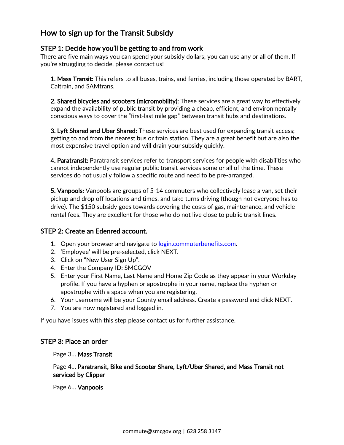## How to sign up for the Transit Subsidy

#### STEP 1: Decide how you'll be getting to and from work

There are five main ways you can spend your subsidy dollars; you can use any or all of them. If you're struggling to decide, please contact us!

**1. Mass Transit:** This refers to all buses, trains, and ferries, including those operated by BART, Caltrain, and SAMtrans.

2. Shared bicycles and scooters (micromobility): These services are a great way to effectively expand the availability of public transit by providing a cheap, efficient, and environmentally conscious ways to cover the "first-last mile gap" between transit hubs and destinations.

**3. Lyft Shared and Uber Shared:** These services are best used for expanding transit access; getting to and from the nearest bus or train station. They are a great benefit but are also the most expensive travel option and will drain your subsidy quickly.

4. Paratransit: Paratransit services refer to transport services for people with disabilities who cannot independently use regular public transit services some or all of the time. These services do not usually follow a specific route and need to be pre-arranged.

5. Vanpools: Vanpools are groups of 5-14 commuters who collectively lease a van, set their pickup and drop off locations and times, and take turns driving (though not everyone has to drive). The \$150 subsidy goes towards covering the costs of gas, maintenance, and vehicle rental fees. They are excellent for those who do not live close to public transit lines.

#### STEP 2: Create an Edenred account.

- 1. Open your browser and navigate to [login.commuterbenefits.com.](https://login.commuterbenefits.com/)
- 2. 'Employee' will be pre-selected, click NEXT.
- 3. Click on "New User Sign Up".
- 4. Enter the Company ID: SMCGOV
- 5. Enter your First Name, Last Name and Home Zip Code as they appear in your Workday profile. If you have a hyphen or apostrophe in your name, replace the hyphen or apostrophe with a space when you are registering.
- 6. Your username will be your County email address. Create a password and click NEXT.
- 7. You are now registered and logged in.

If you have issues with this step please contact us for further assistance.

#### STEP 3: Place an order

Page 3… Mass Transit

Page 4… Paratransit, Bike and Scooter Share, Lyft/Uber Shared, and Mass Transit not serviced by Clipper

Page 6… Vanpools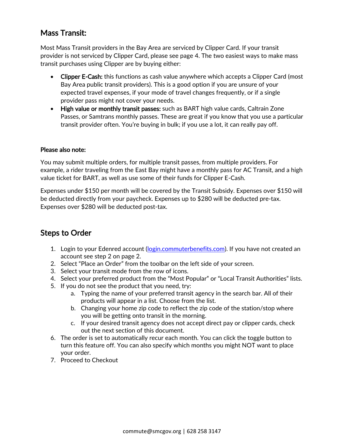# Mass Transit:

Most Mass Transit providers in the Bay Area are serviced by Clipper Card. If your transit provider is not serviced by Clipper Card, please see page 4. The two easiest ways to make mass transit purchases using Clipper are by buying either:

- Clipper E-Cash: this functions as cash value anywhere which accepts a Clipper Card (most Bay Area public transit providers). This is a good option if you are unsure of your expected travel expenses, if your mode of travel changes frequently, or if a single provider pass might not cover your needs.
- High value or monthly transit passes: such as BART high value cards, Caltrain Zone Passes, or Samtrans monthly passes. These are great if you know that you use a particular transit provider often. You're buying in bulk; if you use a lot, it can really pay off.

#### Please also note:

You may submit multiple orders, for multiple transit passes, from multiple providers. For example, a rider traveling from the East Bay might have a monthly pass for AC Transit, and a high value ticket for BART, as well as use some of their funds for Clipper E-Cash.

Expenses under \$150 per month will be covered by the Transit Subsidy. Expenses over \$150 will be deducted directly from your paycheck. Expenses up to \$280 will be deducted pre-tax. Expenses over \$280 will be deducted post-tax.

### Steps to Order

- 1. Login to your Edenred account [\(login.commuterbenefits.com\)](https://login.commuterbenefits.com/). If you have not created an account see step 2 on page 2.
- 2. Select "Place an Order" from the toolbar on the left side of your screen.
- 3. Select your transit mode from the row of icons.
- 4. Select your preferred product from the "Most Popular" or "Local Transit Authorities" lists.
- 5. If you do not see the product that you need, try:
	- a. Typing the name of your preferred transit agency in the search bar. All of their products will appear in a list. Choose from the list.
	- b. Changing your home zip code to reflect the zip code of the station/stop where you will be getting onto transit in the morning.
	- c. If your desired transit agency does not accept direct pay or clipper cards, check out the next section of this document.
- 6. The order is set to automatically recur each month. You can click the toggle button to turn this feature off. You can also specify which months you might NOT want to place your order.
- 7. Proceed to Checkout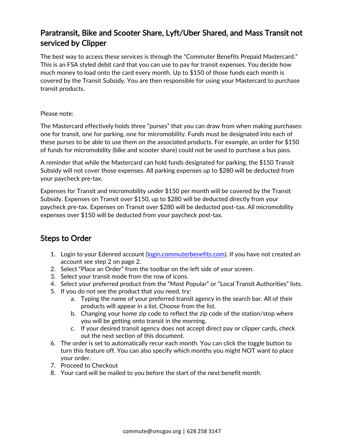# Paratransit, Bike and Scooter Share, Lyft/Uber Shared, and Mass Transit not serviced by Clipper

The best way to access these services is through the "Commuter Benefits Prepaid Mastercard." This is an FSA styled debit card that you can use to pay for transit expenses. You decide how much money to load onto the card every month. Up to \$150 of those funds each month is covered by the Transit Subsidy. You are then responsible for using your Mastercard to purchase transit products.

#### Please note:

The Mastercard effectively holds three "purses" that you can draw from when making purchases: one for transit, one for parking, one for micromobility. Funds must be designated into each of these purses to be able to use them on the associated products. For example, an order for \$150 of funds for micromobility (bike and scooter share) could not be used to purchase a bus pass.

A reminder that while the Mastercard can hold funds designated for parking, the \$150 Transit Subsidy will not cover those expenses. All parking expenses up to \$280 will be deducted from your paycheck pre-tax.

Expenses for Transit and micromobility under \$150 per month will be covered by the Transit Subsidy. Expenses on Transit over \$150, up to \$280 will be deducted directly from your paycheck pre-tax. Expenses on Transit over \$280 will be deducted post-tax. All micromobility expenses over \$150 will be deducted from your paycheck post-tax.

### Steps to Order

- 1. Login to your Edenred account [\(login.commuterbenefits.com\)](https://login.commuterbenefits.com/). If you have not created an account see step 2 on page 2.
- 2. Select "Place an Order" from the toolbar on the left side of your screen.
- 3. Select your transit mode from the row of icons.
- 4. Select your preferred product from the "Most Popular" or "Local Transit Authorities" lists.
- 5. If you do not see the product that you need, try:
	- a. Typing the name of your preferred transit agency in the search bar. All of their products will appear in a list. Choose from the list.
	- b. Changing your home zip code to reflect the zip code of the station/stop where you will be getting onto transit in the morning.
	- c. If your desired transit agency does not accept direct pay or clipper cards, check out the next section of this document.
- 6. The order is set to automatically recur each month. You can click the toggle button to turn this feature off. You can also specify which months you might NOT want to place your order.
- 7. Proceed to Checkout
- 8. Your card will be mailed to you before the start of the next benefit month.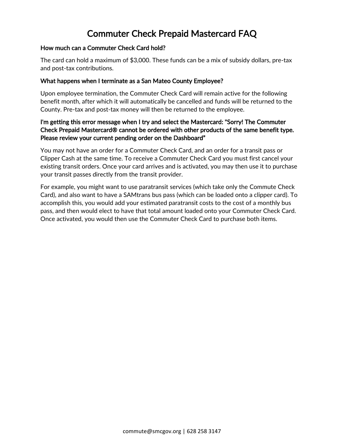# Commuter Check Prepaid Mastercard FAQ

#### How much can a Commuter Check Card hold?

The card can hold a maximum of \$3,000. These funds can be a mix of subsidy dollars, pre-tax and post-tax contributions.

#### What happens when I terminate as a San Mateo County Employee?

Upon employee termination, the Commuter Check Card will remain active for the following benefit month, after which it will automatically be cancelled and funds will be returned to the County. Pre-tax and post-tax money will then be returned to the employee.

#### I'm getting this error message when I try and select the Mastercard: "Sorry! The Commuter Check Prepaid Mastercard® cannot be ordered with other products of the same benefit type. Please review your current pending order on the Dashboard"

You may not have an order for a Commuter Check Card, and an order for a transit pass or Clipper Cash at the same time. To receive a Commuter Check Card you must first cancel your existing transit orders. Once your card arrives and is activated, you may then use it to purchase your transit passes directly from the transit provider.

For example, you might want to use paratransit services (which take only the Commute Check Card), and also want to have a SAMtrans bus pass (which can be loaded onto a clipper card). To accomplish this, you would add your estimated paratransit costs to the cost of a monthly bus pass, and then would elect to have that total amount loaded onto your Commuter Check Card. Once activated, you would then use the Commuter Check Card to purchase both items.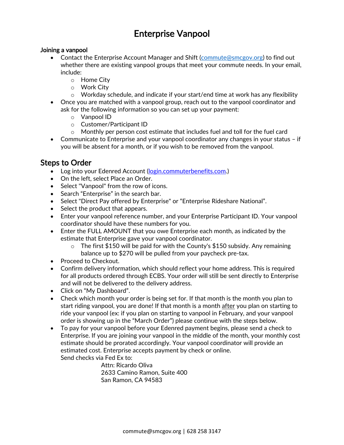# Enterprise Vanpool

#### Joining a vanpool

- Contact the Enterprise Account Manager and Shift [\(commute@smcgov.org\)](mailto:commute@smcgov.org) to find out whether there are existing vanpool groups that meet your commute needs. In your email, include:
	- o Home City
	- o Work City
	- o Workday schedule, and indicate if your start/end time at work has any flexibility
- Once you are matched with a vanpool group, reach out to the vanpool coordinator and ask for the following information so you can set up your payment:
	- o Vanpool ID
	- o Customer/Participant ID
	- $\circ$  Monthly per person cost estimate that includes fuel and toll for the fuel card
- Communicate to Enterprise and your vanpool coordinator any changes in your status if you will be absent for a month, or if you wish to be removed from the vanpool.

### Steps to Order

- Log into your Edenred Account [\(login.commuterbenefits.com.](https://login.commuterbenefits.com/))
- On the left, select Place an Order.
- Select "Vanpool" from the row of icons.
- Search "Enterprise" in the search bar.
- Select "Direct Pay offered by Enterprise" or "Enterprise Rideshare National".
- Select the product that appears.
- Enter your vanpool reference number, and your Enterprise Participant ID. Your vanpool coordinator should have these numbers for you.
- Enter the FULL AMOUNT that you owe Enterprise each month, as indicated by the estimate that Enterprise gave your vanpool coordinator.
	- $\circ$  The first \$150 will be paid for with the County's \$150 subsidy. Any remaining balance up to \$270 will be pulled from your paycheck pre-tax.
- Proceed to Checkout.
- Confirm delivery information, which should reflect your home address. This is required for all products ordered through ECBS. Your order will still be sent directly to Enterprise and will not be delivered to the delivery address.
- Click on "My Dashboard".
- Check which month your order is being set for. If that month is the month you plan to start riding vanpool, you are done! If that month is a month after you plan on starting to ride your vanpool (ex: if you plan on starting to vanpool in February, and your vanpool order is showing up in the "March Order") please continue with the steps below.
- To pay for your vanpool before your Edenred payment begins, please send a check to Enterprise. If you are joining your vanpool in the middle of the month, your monthly cost estimate should be prorated accordingly. Your vanpool coordinator will provide an estimated cost. Enterprise accepts payment by check or online. Send checks via Fed Ex to:

Attn: Ricardo Oliva 2633 Camino Ramon, Suite 400 San Ramon, CA 94583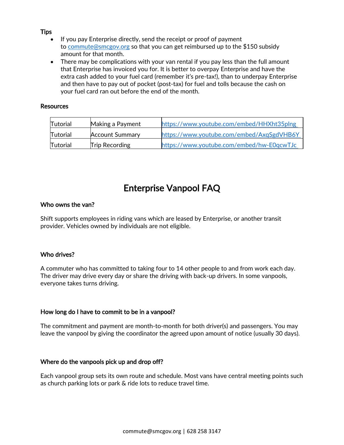#### **Tips**

- If you pay Enterprise directly, send the receipt or proof of payment to [commute@smcgov.org](mailto:commute@smcgov.org) so that you can get reimbursed up to the \$150 subsidy amount for that month.
- There may be complications with your van rental if you pay less than the full amount that Enterprise has invoiced you for. It is better to overpay Enterprise and have the extra cash added to your fuel card (remember it's pre-tax!), than to underpay Enterprise and then have to pay out of pocket (post-tax) for fuel and tolls because the cash on your fuel card ran out before the end of the month.

#### **Resources**

| Tutorial        | Making a Payment       | https://www.youtube.com/embed/HHXht35plng |
|-----------------|------------------------|-------------------------------------------|
| Tutorial        | <b>Account Summary</b> | https://www.youtube.com/embed/AxqSgdVHB6Y |
| <b>Tutorial</b> | <b>Trip Recording</b>  | https://www.youtube.com/embed/hw-E0qcwTJc |

# Enterprise Vanpool FAQ

#### Who owns the van?

Shift supports employees in riding vans which are leased by Enterprise, or another transit provider. Vehicles owned by individuals are not eligible.

#### Who drives?

A commuter who has committed to taking four to 14 other people to and from work each day. The driver may drive every day or share the driving with back-up drivers. In some vanpools, everyone takes turns driving.

#### How long do I have to commit to be in a vanpool?

The commitment and payment are month-to-month for both driver(s) and passengers. You may leave the vanpool by giving the coordinator the agreed upon amount of notice (usually 30 days).

#### Where do the vanpools pick up and drop off?

Each vanpool group sets its own route and schedule. Most vans have central meeting points such as church parking lots or park & ride lots to reduce travel time.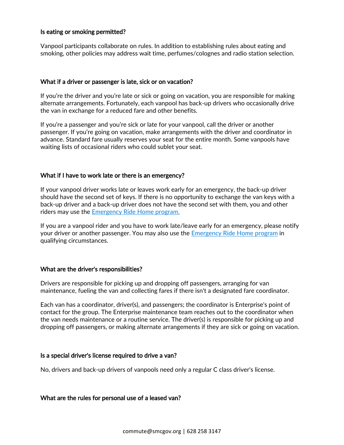#### Is eating or smoking permitted?

Vanpool participants collaborate on rules. In addition to establishing rules about eating and smoking, other policies may address wait time, perfumes/colognes and radio station selection.

#### What if a driver or passenger is late, sick or on vacation?

If you're the driver and you're late or sick or going on vacation, you are responsible for making alternate arrangements. Fortunately, each vanpool has back-up drivers who occasionally drive the van in exchange for a reduced fare and other benefits.

If you're a passenger and you're sick or late for your vanpool, call the driver or another passenger. If you're going on vacation, make arrangements with the driver and coordinator in advance. Standard fare usually reserves your seat for the entire month. Some vanpools have waiting lists of occasional riders who could sublet your seat.

#### What if I have to work late or there is an emergency?

If your vanpool driver works late or leaves work early for an emergency, the back-up driver should have the second set of keys. If there is no opportunity to exchange the van keys with a back-up driver and a back-up driver does not have the second set with them, you and other riders may use the Emergency [Ride Home program.](https://smcgov.sharepoint.com/sites/Shift/SitePages/Emergency-Ride-Home-Program.aspx)

If you are a vanpool rider and you have to work late/leave early for an emergency, please notify your driver or another passenger. You may also use the **[Emergency Ride Home](https://smcgov.sharepoint.com/sites/Shift/SitePages/Emergency%20Ride%20Home.aspx?&originalPath=aHR0cHM6Ly9zbWNnb3Yuc2hhcmVwb2ludC5jb20vOnU6L3MvU2hpZnQvRWRQdndxVXNyYnBIc3hPYW5MTDZWMGNCdFpwQ1BSZ09fRXRBSHJVY3I5S3V6dz9ydGltZT1WV0JJSEotZjEwZw) program** in qualifying circumstances.

#### What are the driver's responsibilities?

Drivers are responsible for picking up and dropping off passengers, arranging for van maintenance, fueling the van and collecting fares if there isn't a designated fare coordinator.

Each van has a coordinator, driver(s), and passengers; the coordinator is Enterprise's point of contact for the group. The Enterprise maintenance team reaches out to the coordinator when the van needs maintenance or a routine service. The driver(s) is responsible for picking up and dropping off passengers, or making alternate arrangements if they are sick or going on vacation.

#### Is a special driver's license required to drive a van?

No, drivers and back-up drivers of vanpools need only a regular C class driver's license.

#### What are the rules for personal use of a leased van?